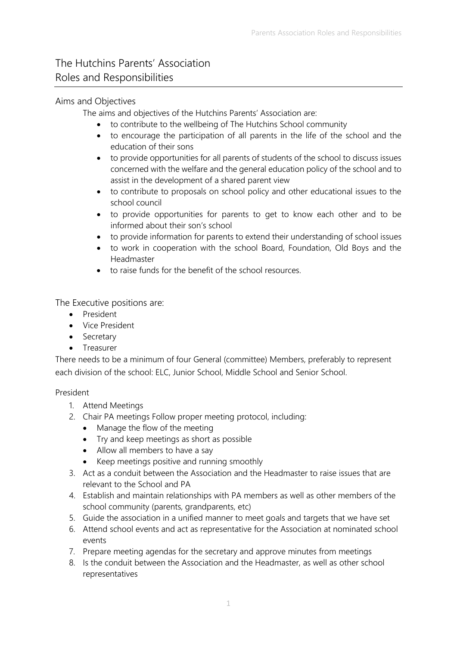# The Hutchins Parents' Association Roles and Responsibilities

## Aims and Objectives

The aims and objectives of the Hutchins Parents' Association are:

- to contribute to the wellbeing of The Hutchins School community
- to encourage the participation of all parents in the life of the school and the education of their sons
- to provide opportunities for all parents of students of the school to discuss issues concerned with the welfare and the general education policy of the school and to assist in the development of a shared parent view
- to contribute to proposals on school policy and other educational issues to the school council
- to provide opportunities for parents to get to know each other and to be informed about their son's school
- to provide information for parents to extend their understanding of school issues
- to work in cooperation with the school Board, Foundation, Old Boys and the Headmaster
- to raise funds for the benefit of the school resources.

The Executive positions are:

- President
- Vice President
- Secretary
- Treasurer

There needs to be a minimum of four General (committee) Members, preferably to represent each division of the school: ELC, Junior School, Middle School and Senior School.

#### President

- 1. Attend Meetings
- 2. Chair PA meetings Follow proper meeting protocol, including:
	- Manage the flow of the meeting
	- Try and keep meetings as short as possible
	- Allow all members to have a say
	- Keep meetings positive and running smoothly
- 3. Act as a conduit between the Association and the Headmaster to raise issues that are relevant to the School and PA
- 4. Establish and maintain relationships with PA members as well as other members of the school community (parents, grandparents, etc)
- 5. Guide the association in a unified manner to meet goals and targets that we have set
- 6. Attend school events and act as representative for the Association at nominated school events
- 7. Prepare meeting agendas for the secretary and approve minutes from meetings
- 8. Is the conduit between the Association and the Headmaster, as well as other school representatives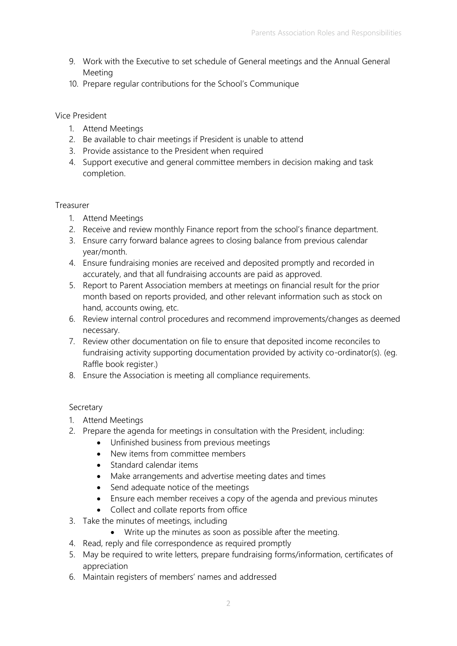- 9. Work with the Executive to set schedule of General meetings and the Annual General Meeting
- 10. Prepare regular contributions for the School's Communique

#### Vice President

- 1. Attend Meetings
- 2. Be available to chair meetings if President is unable to attend
- 3. Provide assistance to the President when required
- 4. Support executive and general committee members in decision making and task completion.

### Treasurer

- 1. Attend Meetings
- 2. Receive and review monthly Finance report from the school's finance department.
- 3. Ensure carry forward balance agrees to closing balance from previous calendar year/month.
- 4. Ensure fundraising monies are received and deposited promptly and recorded in accurately, and that all fundraising accounts are paid as approved.
- 5. Report to Parent Association members at meetings on financial result for the prior month based on reports provided, and other relevant information such as stock on hand, accounts owing, etc.
- 6. Review internal control procedures and recommend improvements/changes as deemed necessary.
- 7. Review other documentation on file to ensure that deposited income reconciles to fundraising activity supporting documentation provided by activity co-ordinator(s). (eg. Raffle book register.)
- 8. Ensure the Association is meeting all compliance requirements.

## Secretary

- 1. Attend Meetings
- 2. Prepare the agenda for meetings in consultation with the President, including:
	- Unfinished business from previous meetings
	- New items from committee members
	- Standard calendar items
	- Make arrangements and advertise meeting dates and times
	- Send adequate notice of the meetings
	- Ensure each member receives a copy of the agenda and previous minutes
	- Collect and collate reports from office
- 3. Take the minutes of meetings, including
	- Write up the minutes as soon as possible after the meeting.
- 4. Read, reply and file correspondence as required promptly
- 5. May be required to write letters, prepare fundraising forms/information, certificates of appreciation
- 6. Maintain registers of members' names and addressed